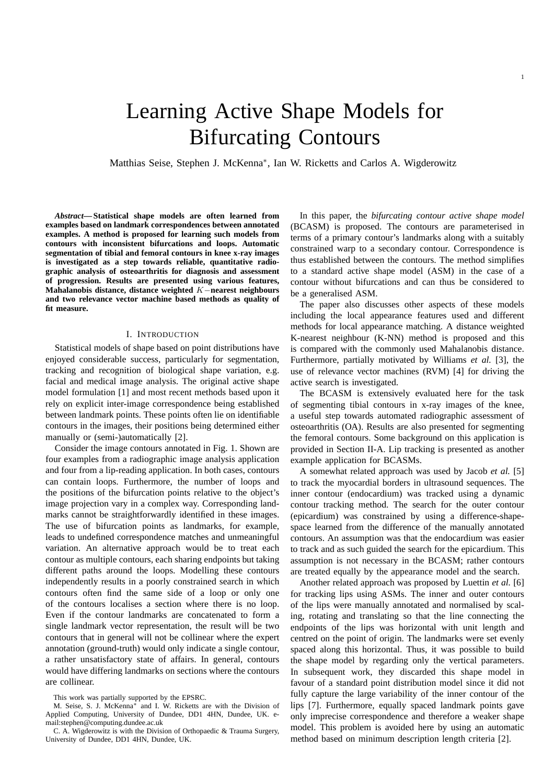Matthias Seise, Stephen J. McKenna<sup>∗</sup> , Ian W. Ricketts and Carlos A. Wigderowitz

*Abstract***— Statistical shape models are often learned from examples based on landmark correspondences between annotated examples. A method is proposed for learning such models from contours with inconsistent bifurcations and loops. Automatic segmentation of tibial and femoral contours in knee x-ray images is investigated as a step towards reliable, quantitative radiographic analysis of osteoarthritis for diagnosis and assessment of progression. Results are presented using various features, Mahalanobis distance, distance weighted** K−**nearest neighbours and two relevance vector machine based methods as quality of fit measure.**

#### I. INTRODUCTION

Statistical models of shape based on point distributions have enjoyed considerable success, particularly for segmentation, tracking and recognition of biological shape variation, e.g. facial and medical image analysis. The original active shape model formulation [1] and most recent methods based upon it rely on explicit inter-image correspondence being established between landmark points. These points often lie on identifiable contours in the images, their positions being determined either manually or (semi-)automatically [2].

Consider the image contours annotated in Fig. 1. Shown are four examples from a radiographic image analysis application and four from a lip-reading application. In both cases, contours can contain loops. Furthermore, the number of loops and the positions of the bifurcation points relative to the object's image projection vary in a complex way. Corresponding landmarks cannot be straightforwardly identified in these images. The use of bifurcation points as landmarks, for example, leads to undefined correspondence matches and unmeaningful variation. An alternative approach would be to treat each contour as multiple contours, each sharing endpoints but taking different paths around the loops. Modelling these contours independently results in a poorly constrained search in which contours often find the same side of a loop or only one of the contours localises a section where there is no loop. Even if the contour landmarks are concatenated to form a single landmark vector representation, the result will be two contours that in general will not be collinear where the expert annotation (ground-truth) would only indicate a single contour, a rather unsatisfactory state of affairs. In general, contours would have differing landmarks on sections where the contours are collinear.

In this paper, the *bifurcating contour active shape model* (BCASM) is proposed. The contours are parameterised in terms of a primary contour's landmarks along with a suitably constrained warp to a secondary contour. Correspondence is thus established between the contours. The method simplifies to a standard active shape model (ASM) in the case of a contour without bifurcations and can thus be considered to be a generalised ASM.

The paper also discusses other aspects of these models including the local appearance features used and different methods for local appearance matching. A distance weighted K-nearest neighbour (K-NN) method is proposed and this is compared with the commonly used Mahalanobis distance. Furthermore, partially motivated by Williams *et al.* [3], the use of relevance vector machines (RVM) [4] for driving the active search is investigated.

The BCASM is extensively evaluated here for the task of segmenting tibial contours in x-ray images of the knee, a useful step towards automated radiographic assessment of osteoarthritis (OA). Results are also presented for segmenting the femoral contours. Some background on this application is provided in Section II-A. Lip tracking is presented as another example application for BCASMs.

A somewhat related approach was used by Jacob *et al.* [5] to track the myocardial borders in ultrasound sequences. The inner contour (endocardium) was tracked using a dynamic contour tracking method. The search for the outer contour (epicardium) was constrained by using a difference-shapespace learned from the difference of the manually annotated contours. An assumption was that the endocardium was easier to track and as such guided the search for the epicardium. This assumption is not necessary in the BCASM; rather contours are treated equally by the appearance model and the search.

Another related approach was proposed by Luettin *et al.* [6] for tracking lips using ASMs. The inner and outer contours of the lips were manually annotated and normalised by scaling, rotating and translating so that the line connecting the endpoints of the lips was horizontal with unit length and centred on the point of origin. The landmarks were set evenly spaced along this horizontal. Thus, it was possible to build the shape model by regarding only the vertical parameters. In subsequent work, they discarded this shape model in favour of a standard point distribution model since it did not fully capture the large variability of the inner contour of the lips [7]. Furthermore, equally spaced landmark points gave only imprecise correspondence and therefore a weaker shape model. This problem is avoided here by using an automatic method based on minimum description length criteria [2].

This work was partially supported by the EPSRC.

M. Seise, S. J. McKenna<sup>\*</sup> and I. W. Ricketts are with the Division of Applied Computing, University of Dundee, DD1 4HN, Dundee, UK. email:stephen@computing.dundee.ac.uk

C. A. Wigderowitz is with the Division of Orthopaedic & Trauma Surgery, University of Dundee, DD1 4HN, Dundee, UK.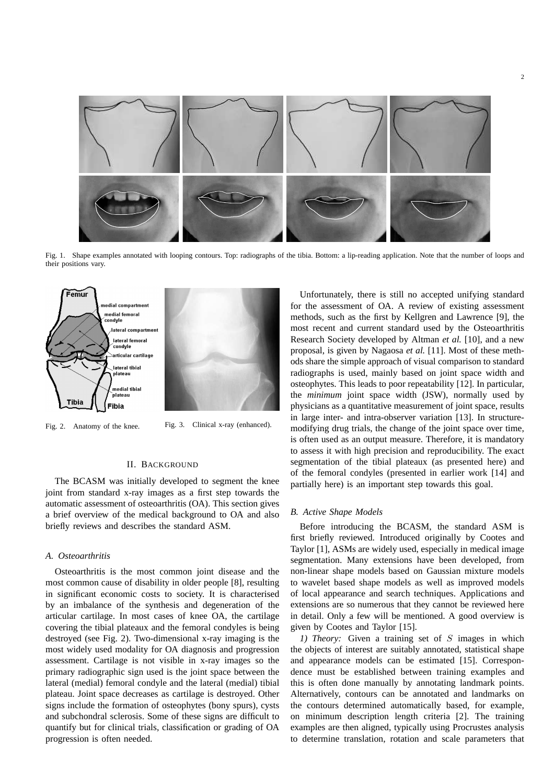

Fig. 1. Shape examples annotated with looping contours. Top: radiographs of the tibia. Bottom: a lip-reading application. Note that the number of loops and their positions vary.



Fig. 2. Anatomy of the knee. Fig. 3. Clinical x-ray (enhanced).

#### II. BACKGROUND

The BCASM was initially developed to segment the knee joint from standard x-ray images as a first step towards the automatic assessment of osteoarthritis (OA). This section gives a brief overview of the medical background to OA and also briefly reviews and describes the standard ASM.

## *A. Osteoarthritis*

Osteoarthritis is the most common joint disease and the most common cause of disability in older people [8], resulting in significant economic costs to society. It is characterised by an imbalance of the synthesis and degeneration of the articular cartilage. In most cases of knee OA, the cartilage covering the tibial plateaux and the femoral condyles is being destroyed (see Fig. 2). Two-dimensional x-ray imaging is the most widely used modality for OA diagnosis and progression assessment. Cartilage is not visible in x-ray images so the primary radiographic sign used is the joint space between the lateral (medial) femoral condyle and the lateral (medial) tibial plateau. Joint space decreases as cartilage is destroyed. Other signs include the formation of osteophytes (bony spurs), cysts and subchondral sclerosis. Some of these signs are difficult to quantify but for clinical trials, classification or grading of OA progression is often needed.

Unfortunately, there is still no accepted unifying standard for the assessment of OA. A review of existing assessment methods, such as the first by Kellgren and Lawrence [9], the most recent and current standard used by the Osteoarthritis Research Society developed by Altman *et al.* [10], and a new proposal, is given by Nagaosa *et al.* [11]. Most of these methods share the simple approach of visual comparison to standard radiographs is used, mainly based on joint space width and osteophytes. This leads to poor repeatability [12]. In particular, the *minimum* joint space width (JSW), normally used by physicians as a quantitative measurement of joint space, results in large inter- and intra-observer variation [13]. In structuremodifying drug trials, the change of the joint space over time, is often used as an output measure. Therefore, it is mandatory to assess it with high precision and reproducibility. The exact segmentation of the tibial plateaux (as presented here) and of the femoral condyles (presented in earlier work [14] and partially here) is an important step towards this goal.

# *B. Active Shape Models*

Before introducing the BCASM, the standard ASM is first briefly reviewed. Introduced originally by Cootes and Taylor [1], ASMs are widely used, especially in medical image segmentation. Many extensions have been developed, from non-linear shape models based on Gaussian mixture models to wavelet based shape models as well as improved models of local appearance and search techniques. Applications and extensions are so numerous that they cannot be reviewed here in detail. Only a few will be mentioned. A good overview is given by Cootes and Taylor [15].

*1) Theory:* Given a training set of S images in which the objects of interest are suitably annotated, statistical shape and appearance models can be estimated [15]. Correspondence must be established between training examples and this is often done manually by annotating landmark points. Alternatively, contours can be annotated and landmarks on the contours determined automatically based, for example, on minimum description length criteria [2]. The training examples are then aligned, typically using Procrustes analysis to determine translation, rotation and scale parameters that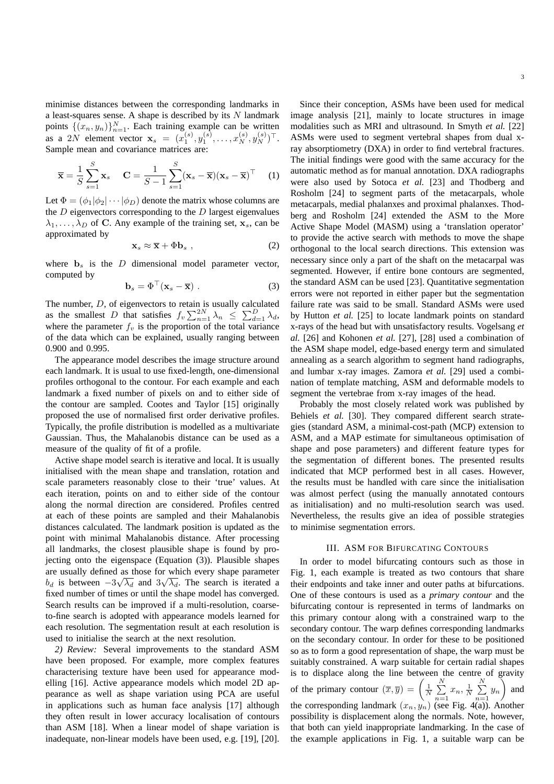minimise distances between the corresponding landmarks in a least-squares sense. A shape is described by its  $N$  landmark points  $\{(x_n, y_n)\}_{n=1}^N$ . Each training example can be written as a 2N element vector  $\mathbf{x}_s = (x_1^{(s)}, y_1^{(s)}, \dots, x_N^{(s)}, y_N^{(s)})^\top$ . Sample mean and covariance matrices are:

$$
\overline{\mathbf{x}} = \frac{1}{S} \sum_{s=1}^{S} \mathbf{x}_s \quad \mathbf{C} = \frac{1}{S-1} \sum_{s=1}^{S} (\mathbf{x}_s - \overline{\mathbf{x}}) (\mathbf{x}_s - \overline{\mathbf{x}})^{\top} \quad (1)
$$

Let  $\Phi = (\phi_1 | \phi_2 | \cdots | \phi_D)$  denote the matrix whose columns are the  $D$  eigenvectors corresponding to the  $D$  largest eigenvalues  $\lambda_1, \ldots, \lambda_D$  of C. Any example of the training set,  $x_s$ , can be approximated by

$$
\mathbf{x}_s \approx \overline{\mathbf{x}} + \Phi \mathbf{b}_s \tag{2}
$$

where  $\mathbf{b}_s$  is the  $D$  dimensional model parameter vector, computed by

$$
\mathbf{b}_s = \Phi^\top (\mathbf{x}_s - \overline{\mathbf{x}}) \ . \tag{3}
$$

The number,  $D$ , of eigenvectors to retain is usually calculated as the smallest D that satisfies  $f_v \sum_{n=1}^{2N} \lambda_n \leq \sum_{d=1}^{D} \lambda_d$ , where the parameter  $f_v$  is the proportion of the total variance of the data which can be explained, usually ranging between 0.900 and 0.995.

The appearance model describes the image structure around each landmark. It is usual to use fixed-length, one-dimensional profiles orthogonal to the contour. For each example and each landmark a fixed number of pixels on and to either side of the contour are sampled. Cootes and Taylor [15] originally proposed the use of normalised first order derivative profiles. Typically, the profile distribution is modelled as a multivariate Gaussian. Thus, the Mahalanobis distance can be used as a measure of the quality of fit of a profile.

Active shape model search is iterative and local. It is usually initialised with the mean shape and translation, rotation and scale parameters reasonably close to their 'true' values. At each iteration, points on and to either side of the contour along the normal direction are considered. Profiles centred at each of these points are sampled and their Mahalanobis distances calculated. The landmark position is updated as the point with minimal Mahalanobis distance. After processing all landmarks, the closest plausible shape is found by projecting onto the eigenspace (Equation (3)). Plausible shapes are usually defined as those for which every shape parameter  $b_d$  is between  $-3\sqrt{\lambda_d}$  and  $3\sqrt{\lambda_d}$ . The search is iterated a fixed number of times or until the shape model has converged. Search results can be improved if a multi-resolution, coarseto-fine search is adopted with appearance models learned for each resolution. The segmentation result at each resolution is used to initialise the search at the next resolution.

*2) Review:* Several improvements to the standard ASM have been proposed. For example, more complex features characterising texture have been used for appearance modelling [16]. Active appearance models which model 2D appearance as well as shape variation using PCA are useful in applications such as human face analysis [17] although they often result in lower accuracy localisation of contours than ASM [18]. When a linear model of shape variation is inadequate, non-linear models have been used, e.g. [19], [20].

Since their conception, ASMs have been used for medical image analysis [21], mainly to locate structures in image modalities such as MRI and ultrasound. In Smyth *et al.* [22] ASMs were used to segment vertebral shapes from dual xray absorptiometry (DXA) in order to find vertebral fractures. The initial findings were good with the same accuracy for the automatic method as for manual annotation. DXA radiographs were also used by Sotoca *et al.* [23] and Thodberg and Rosholm [24] to segment parts of the metacarpals, whole metacarpals, medial phalanxes and proximal phalanxes. Thodberg and Rosholm [24] extended the ASM to the More Active Shape Model (MASM) using a 'translation operator' to provide the active search with methods to move the shape orthogonal to the local search directions. This extension was necessary since only a part of the shaft on the metacarpal was segmented. However, if entire bone contours are segmented, the standard ASM can be used [23]. Quantitative segmentation errors were not reported in either paper but the segmentation failure rate was said to be small. Standard ASMs were used by Hutton *et al.* [25] to locate landmark points on standard x-rays of the head but with unsatisfactory results. Vogelsang *et al.* [26] and Kohonen *et al.* [27], [28] used a combination of the ASM shape model, edge-based energy term and simulated annealing as a search algorithm to segment hand radiographs, and lumbar x-ray images. Zamora *et al.* [29] used a combination of template matching, ASM and deformable models to segment the vertebrae from x-ray images of the head.

Probably the most closely related work was published by Behiels *et al.* [30]. They compared different search strategies (standard ASM, a minimal-cost-path (MCP) extension to ASM, and a MAP estimate for simultaneous optimisation of shape and pose parameters) and different feature types for the segmentation of different bones. The presented results indicated that MCP performed best in all cases. However, the results must be handled with care since the initialisation was almost perfect (using the manually annotated contours as initialisation) and no multi-resolution search was used. Nevertheless, the results give an idea of possible strategies to minimise segmentation errors.

## III. ASM FOR BIFURCATING CONTOURS

In order to model bifurcating contours such as those in Fig. 1, each example is treated as two contours that share their endpoints and take inner and outer paths at bifurcations. One of these contours is used as a *primary contour* and the bifurcating contour is represented in terms of landmarks on this primary contour along with a constrained warp to the secondary contour. The warp defines corresponding landmarks on the secondary contour. In order for these to be positioned so as to form a good representation of shape, the warp must be suitably constrained. A warp suitable for certain radial shapes is to displace along the line between the centre of gravity of the primary contour  $(\overline{x}, \overline{y}) = \left(\frac{1}{N} \sum_{i=1}^{N} x_i\right)$  $\sum_{n=1}^{N} x_n, \frac{1}{N} \sum_{n=1}^{N}$  $\sum_{n=1}^{N} y_n$  and the corresponding landmark  $(x_n, y_n)$  (see Fig. 4(a)). Another possibility is displacement along the normals. Note, however, that both can yield inappropriate landmarking. In the case of the example applications in Fig. 1, a suitable warp can be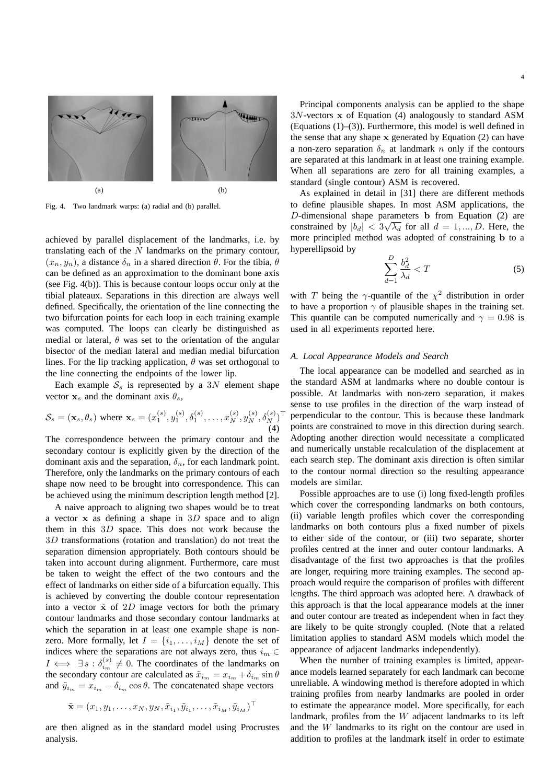

Fig. 4. Two landmark warps: (a) radial and (b) parallel.

achieved by parallel displacement of the landmarks, i.e. by translating each of the  $N$  landmarks on the primary contour,  $(x_n, y_n)$ , a distance  $\delta_n$  in a shared direction  $\theta$ . For the tibia,  $\theta$ can be defined as an approximation to the dominant bone axis (see Fig. 4(b)). This is because contour loops occur only at the tibial plateaux. Separations in this direction are always well defined. Specifically, the orientation of the line connecting the two bifurcation points for each loop in each training example was computed. The loops can clearly be distinguished as medial or lateral,  $\theta$  was set to the orientation of the angular bisector of the median lateral and median medial bifurcation lines. For the lip tracking application,  $\theta$  was set orthogonal to the line connecting the endpoints of the lower lip.

Each example  $S<sub>s</sub>$  is represented by a 3N element shape vector  $x_s$  and the dominant axis  $\theta_s$ ,

$$
S_s = (\mathbf{x}_s, \theta_s) \text{ where } \mathbf{x}_s = (x_1^{(s)}, y_1^{(s)}, \delta_1^{(s)}, \dots, x_N^{(s)}, y_N^{(s)}, \delta_N^{(s)})^\top
$$
\n(4)

The correspondence between the primary contour and the secondary contour is explicitly given by the direction of the dominant axis and the separation,  $\delta_n$ , for each landmark point. Therefore, only the landmarks on the primary contours of each shape now need to be brought into correspondence. This can be achieved using the minimum description length method [2].

A naive approach to aligning two shapes would be to treat a vector  $x$  as defining a shape in  $3D$  space and to align them in this 3D space. This does not work because the 3D transformations (rotation and translation) do not treat the separation dimension appropriately. Both contours should be taken into account during alignment. Furthermore, care must be taken to weight the effect of the two contours and the effect of landmarks on either side of a bifurcation equally. This is achieved by converting the double contour representation into a vector  $\tilde{x}$  of 2D image vectors for both the primary contour landmarks and those secondary contour landmarks at which the separation in at least one example shape is nonzero. More formally, let  $I = \{i_1, \ldots, i_M\}$  denote the set of indices where the separations are not always zero, thus  $i_m \in$  $I \iff \exists s : \delta_{i_m}^{(s)} \neq 0$ . The coordinates of the landmarks on the secondary contour are calculated as  $\tilde{x}_{i_m} = x_{i_m} + \delta_{i_m} \sin \theta$ and  $\tilde{y}_{i_m} = x_{i_m} - \delta_{i_m} \cos \theta$ . The concatenated shape vectors

$$
\tilde{\mathbf{x}} = (x_1, y_1, \dots, x_N, y_N, \tilde{x}_{i_1}, \tilde{y}_{i_1}, \dots, \tilde{x}_{i_M}, \tilde{y}_{i_M})^{\top}
$$

are then aligned as in the standard model using Procrustes analysis.

Principal components analysis can be applied to the shape  $3N$ -vectors x of Equation (4) analogously to standard ASM (Equations (1)–(3)). Furthermore, this model is well defined in the sense that any shape  $x$  generated by Equation  $(2)$  can have a non-zero separation  $\delta_n$  at landmark n only if the contours are separated at this landmark in at least one training example. When all separations are zero for all training examples, a standard (single contour) ASM is recovered.

As explained in detail in [31] there are different methods to define plausible shapes. In most ASM applications, the D-dimensional shape parameters b from Equation (2) are constrained by  $|b_d| < 3\sqrt{\lambda_d}$  for all  $d = 1, ..., D$ . Here, the more principled method was adopted of constraining b to a hyperellipsoid by

$$
\sum_{d=1}^{D} \frac{b_d^2}{\lambda_d} < T \tag{5}
$$

with T being the  $\gamma$ -quantile of the  $\chi^2$  distribution in order to have a proportion  $\gamma$  of plausible shapes in the training set. This quantile can be computed numerically and  $\gamma = 0.98$  is used in all experiments reported here.

#### *A. Local Appearance Models and Search*

The local appearance can be modelled and searched as in the standard ASM at landmarks where no double contour is possible. At landmarks with non-zero separation, it makes sense to use profiles in the direction of the warp instead of perpendicular to the contour. This is because these landmark points are constrained to move in this direction during search. Adopting another direction would necessitate a complicated and numerically unstable recalculation of the displacement at each search step. The dominant axis direction is often similar to the contour normal direction so the resulting appearance models are similar.

Possible approaches are to use (i) long fixed-length profiles which cover the corresponding landmarks on both contours, (ii) variable length profiles which cover the corresponding landmarks on both contours plus a fixed number of pixels to either side of the contour, or (iii) two separate, shorter profiles centred at the inner and outer contour landmarks. A disadvantage of the first two approaches is that the profiles are longer, requiring more training examples. The second approach would require the comparison of profiles with different lengths. The third approach was adopted here. A drawback of this approach is that the local appearance models at the inner and outer contour are treated as independent when in fact they are likely to be quite strongly coupled. (Note that a related limitation applies to standard ASM models which model the appearance of adjacent landmarks independently).

When the number of training examples is limited, appearance models learned separately for each landmark can become unreliable. A windowing method is therefore adopted in which training profiles from nearby landmarks are pooled in order to estimate the appearance model. More specifically, for each landmark, profiles from the W adjacent landmarks to its left and the W landmarks to its right on the contour are used in addition to profiles at the landmark itself in order to estimate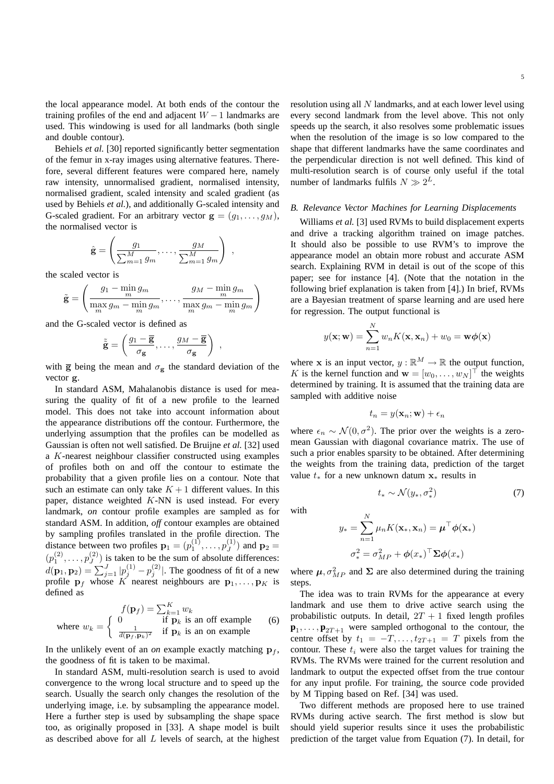the local appearance model. At both ends of the contour the training profiles of the end and adjacent  $W - 1$  landmarks are used. This windowing is used for all landmarks (both single and double contour).

Behiels *et al.* [30] reported significantly better segmentation of the femur in x-ray images using alternative features. Therefore, several different features were compared here, namely raw intensity, unnormalised gradient, normalised intensity, normalised gradient, scaled intensity and scaled gradient (as used by Behiels *et al.*), and additionally G-scaled intensity and G-scaled gradient. For an arbitrary vector  $\mathbf{g} = (g_1, \dots, g_M)$ , the normalised vector is

$$
\hat{\mathbf{g}} = \left(\frac{g_1}{\sum_{m=1}^M g_m}, \dots, \frac{g_M}{\sum_{m=1}^M g_m}\right) ,
$$

the scaled vector is

$$
\tilde{\mathbf{g}} = \left(\frac{g_1 - \min_m g_m}{\max_m g_m - \min_m g_m}, \dots, \frac{g_M - \min_m g_m}{\max_m g_m - \min_m g_m}\right)
$$

and the G-scaled vector is defined as

$$
\tilde{\tilde{\mathbf{g}}} = \left(\frac{g_1 - \overline{\mathbf{g}}}{\sigma_{\mathbf{g}}}, \dots, \frac{g_M - \overline{\mathbf{g}}}{\sigma_{\mathbf{g}}}\right) ,
$$

with  $\bar{g}$  being the mean and  $\sigma_{g}$  the standard deviation of the vector g.

In standard ASM, Mahalanobis distance is used for measuring the quality of fit of a new profile to the learned model. This does not take into account information about the appearance distributions off the contour. Furthermore, the underlying assumption that the profiles can be modelled as Gaussian is often not well satisfied. De Bruijne *et al.* [32] used a K-nearest neighbour classifier constructed using examples of profiles both on and off the contour to estimate the probability that a given profile lies on a contour. Note that such an estimate can only take  $K + 1$  different values. In this paper, distance weighted  $K-NN$  is used instead. For every landmark, *on* contour profile examples are sampled as for standard ASM. In addition, *off* contour examples are obtained by sampling profiles translated in the profile direction. The distance between two profiles  $\mathbf{p}_1 = (p_1^{(1)}, \dots, p_J^{(1)})$  and  $\mathbf{p}_2 =$  $(p_1^{(2)}, \ldots, p_J^{(2)})$  is taken to be the sum of absolute differences:  $d(\mathbf{p}_1, \mathbf{p}_2) = \sum_{j=1}^{J} |p_j^{(1)} - p_j^{(2)}|$ . The goodness of fit of a new profile  $\mathbf{p}_f$  whose K nearest neighbours are  $\mathbf{p}_1, \dots, \mathbf{p}_K$  is defined as

where 
$$
w_k = \begin{cases} 0 & \text{if } \mathbf{p}_f = \sum_{k=1}^K w_k \\ 0 & \text{if } \mathbf{p}_k \text{ is an off example} \\ \frac{1}{d(\mathbf{p}_f, \mathbf{p}_k)^2} & \text{if } \mathbf{p}_k \text{ is an on example} \end{cases}
$$
 (6)

In the unlikely event of an *on* example exactly matching  $\mathbf{p}_f$ , the goodness of fit is taken to be maximal.

In standard ASM, multi-resolution search is used to avoid convergence to the wrong local structure and to speed up the search. Usually the search only changes the resolution of the underlying image, i.e. by subsampling the appearance model. Here a further step is used by subsampling the shape space too, as originally proposed in [33]. A shape model is built as described above for all  $L$  levels of search, at the highest

resolution using all N landmarks, and at each lower level using every second landmark from the level above. This not only speeds up the search, it also resolves some problematic issues when the resolution of the image is so low compared to the shape that different landmarks have the same coordinates and the perpendicular direction is not well defined. This kind of multi-resolution search is of course only useful if the total number of landmarks fulfils  $N \gg 2^L$ .

#### *B. Relevance Vector Machines for Learning Displacements*

Williams *et al.* [3] used RVMs to build displacement experts and drive a tracking algorithm trained on image patches. It should also be possible to use RVM's to improve the appearance model an obtain more robust and accurate ASM search. Explaining RVM in detail is out of the scope of this paper; see for instance [4]. (Note that the notation in the following brief explanation is taken from [4].) In brief, RVMs are a Bayesian treatment of sparse learning and are used here for regression. The output functional is

$$
y(\mathbf{x}; \mathbf{w}) = \sum_{n=1}^{N} w_n K(\mathbf{x}, \mathbf{x}_n) + w_0 = \mathbf{w}\phi(\mathbf{x})
$$

where x is an input vector,  $y : \mathbb{R}^M \to \mathbb{R}$  the output function, K is the kernel function and  $\mathbf{w} = [w_0, \dots, w_N]^\top$  the weights determined by training. It is assumed that the training data are sampled with additive noise

$$
t_n = y(\mathbf{x}_n; \mathbf{w}) + \epsilon_n
$$

where  $\epsilon_n \sim \mathcal{N}(0, \sigma^2)$ . The prior over the weights is a zeromean Gaussian with diagonal covariance matrix. The use of such a prior enables sparsity to be obtained. After determining the weights from the training data, prediction of the target value  $t_*$  for a new unknown datum  $\mathbf{x}_*$  results in

 $W$ 

$$
y_* = \sum_{n=1}^{N} \mu_n K(\mathbf{x}_*, \mathbf{x}_n) = \boldsymbol{\mu}^\top \boldsymbol{\phi}(\mathbf{x}_*)
$$

$$
\sigma_*^2 = \sigma_{MP}^2 + \boldsymbol{\phi}(x_*)^\top \boldsymbol{\Sigma} \boldsymbol{\phi}(x_*)
$$

 $t_* \sim \mathcal{N}(y_*, \sigma_*^2)$ 

where  $\mu$ ,  $\sigma_{MP}^2$  and  $\Sigma$  are also determined during the training steps.

The idea was to train RVMs for the appearance at every landmark and use them to drive active search using the probabilistic outputs. In detail,  $2T + 1$  fixed length profiles  $\mathbf{p}_1, \ldots, \mathbf{p}_{2T+1}$  were sampled orthogonal to the contour, the centre offset by  $t_1 = -T, \ldots, t_{2T+1} = T$  pixels from the contour. These  $t_i$  were also the target values for training the RVMs. The RVMs were trained for the current resolution and landmark to output the expected offset from the true contour for any input profile. For training, the source code provided by M Tipping based on Ref. [34] was used.

Two different methods are proposed here to use trained RVMs during active search. The first method is slow but should yield superior results since it uses the probabilistic prediction of the target value from Equation (7). In detail, for

) (7)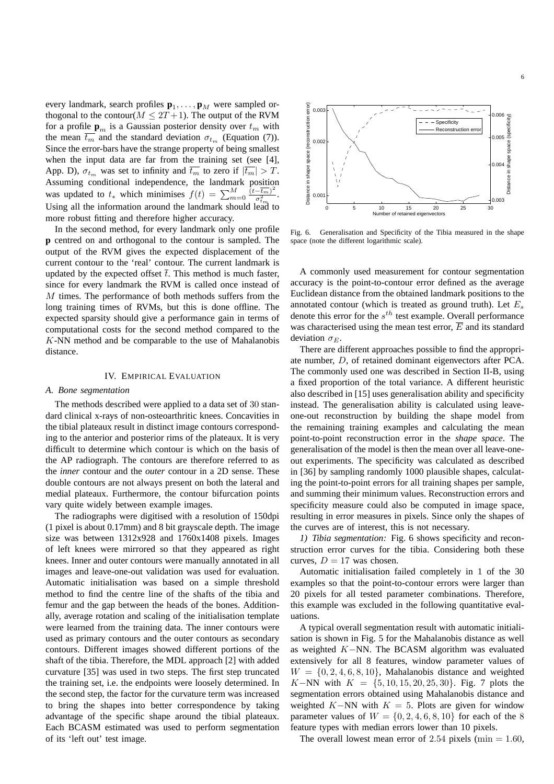every landmark, search profiles  $\mathbf{p}_1, \dots, \mathbf{p}_M$  were sampled orthogonal to the contour( $M \leq 2T + 1$ ). The output of the RVM for a profile  $\mathbf{p}_m$  is a Gaussian posterior density over  $t_m$  with the mean  $\overline{t_m}$  and the standard deviation  $\sigma_{t_m}$  (Equation (7)). Since the error-bars have the strange property of being smallest when the input data are far from the training set (see [4], App. D),  $\sigma_{t_m}$  was set to infinity and  $\overline{t_m}$  to zero if  $|\overline{t_m}| > T$ . Assuming conditional independence, the landmark position was updated to  $t_*$  which minimises  $f(t) = \sum_{m=0}^{M} \frac{(t - \overline{t_m})^2}{\sigma_{t_m}^2}$  $\frac{-t_m)^{-}}{\sigma_{t_m}^2}$ . Using all the information around the landmark should lead to more robust fitting and therefore higher accuracy.

In the second method, for every landmark only one profile **p** centred on and orthogonal to the contour is sampled. The output of the RVM gives the expected displacement of the current contour to the 'real' contour. The current landmark is updated by the expected offset  $\overline{t}$ . This method is much faster, since for every landmark the RVM is called once instead of  $M$  times. The performance of both methods suffers from the long training times of RVMs, but this is done offline. The expected sparsity should give a performance gain in terms of computational costs for the second method compared to the K-NN method and be comparable to the use of Mahalanobis distance.

#### IV. EMPIRICAL EVALUATION

#### *A. Bone segmentation*

The methods described were applied to a data set of 30 standard clinical x-rays of non-osteoarthritic knees. Concavities in the tibial plateaux result in distinct image contours corresponding to the anterior and posterior rims of the plateaux. It is very difficult to determine which contour is which on the basis of the AP radiograph. The contours are therefore referred to as the *inner* contour and the *outer* contour in a 2D sense. These double contours are not always present on both the lateral and medial plateaux. Furthermore, the contour bifurcation points vary quite widely between example images.

The radiographs were digitised with a resolution of 150dpi (1 pixel is about 0.17mm) and 8 bit grayscale depth. The image size was between 1312x928 and 1760x1408 pixels. Images of left knees were mirrored so that they appeared as right knees. Inner and outer contours were manually annotated in all images and leave-one-out validation was used for evaluation. Automatic initialisation was based on a simple threshold method to find the centre line of the shafts of the tibia and femur and the gap between the heads of the bones. Additionally, average rotation and scaling of the initialisation template were learned from the training data. The inner contours were used as primary contours and the outer contours as secondary contours. Different images showed different portions of the shaft of the tibia. Therefore, the MDL approach [2] with added curvature [35] was used in two steps. The first step truncated the training set, i.e. the endpoints were loosely determined. In the second step, the factor for the curvature term was increased to bring the shapes into better correspondence by taking advantage of the specific shape around the tibial plateaux. Each BCASM estimated was used to perform segmentation of its 'left out' test image.



Fig. 6. Generalisation and Specificity of the Tibia measured in the shape space (note the different logarithmic scale).

A commonly used measurement for contour segmentation accuracy is the point-to-contour error defined as the average Euclidean distance from the obtained landmark positions to the annotated contour (which is treated as ground truth). Let  $E_s$ denote this error for the  $s^{th}$  test example. Overall performance was characterised using the mean test error,  $\overline{E}$  and its standard deviation  $\sigma_E$ .

There are different approaches possible to find the appropriate number, D, of retained dominant eigenvectors after PCA. The commonly used one was described in Section II-B, using a fixed proportion of the total variance. A different heuristic also described in [15] uses generalisation ability and specificity instead. The generalisation ability is calculated using leaveone-out reconstruction by building the shape model from the remaining training examples and calculating the mean point-to-point reconstruction error in the *shape space*. The generalisation of the model is then the mean over all leave-oneout experiments. The specificity was calculated as described in [36] by sampling randomly 1000 plausible shapes, calculating the point-to-point errors for all training shapes per sample, and summing their minimum values. Reconstruction errors and specificity measure could also be computed in image space, resulting in error measures in pixels. Since only the shapes of the curves are of interest, this is not necessary.

*1) Tibia segmentation:* Fig. 6 shows specificity and reconstruction error curves for the tibia. Considering both these curves,  $D = 17$  was chosen.

Automatic initialisation failed completely in 1 of the 30 examples so that the point-to-contour errors were larger than 20 pixels for all tested parameter combinations. Therefore, this example was excluded in the following quantitative evaluations.

A typical overall segmentation result with automatic initialisation is shown in Fig. 5 for the Mahalanobis distance as well as weighted K−NN. The BCASM algorithm was evaluated extensively for all 8 features, window parameter values of  $W = \{0, 2, 4, 6, 8, 10\}$ , Mahalanobis distance and weighted K−NN with  $K = \{5, 10, 15, 20, 25, 30\}$ . Fig. 7 plots the segmentation errors obtained using Mahalanobis distance and weighted K−NN with  $K = 5$ . Plots are given for window parameter values of  $W = \{0, 2, 4, 6, 8, 10\}$  for each of the 8 feature types with median errors lower than 10 pixels.

The overall lowest mean error of 2.54 pixels (min  $= 1.60$ ,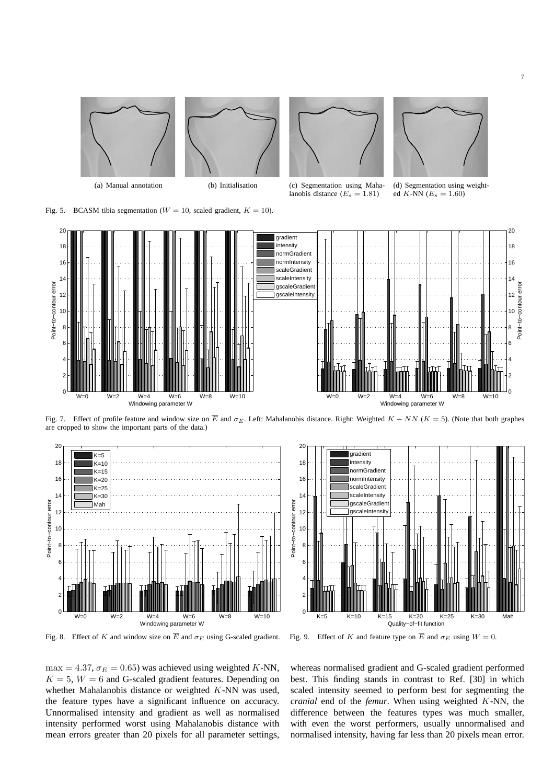





(a) Manual annotation (b) Initialisation (c) Segmentation using Mahalanobis distance  $(E_s = 1.81)$ 



(d) Segmentation using weighted K-NN  $(E_s = 1.60)$ 

Fig. 5. BCASM tibia segmentation ( $W = 10$ , scaled gradient,  $K = 10$ ).



Fig. 7. Effect of profile feature and window size on  $\overline{E}$  and  $\sigma_E$ . Left: Mahalanobis distance. Right: Weighted  $K - NN$  ( $K = 5$ ). (Note that both graphes are cropped to show the important parts of the data.)



Fig. 8. Effect of K and window size on  $\overline{E}$  and  $\sigma_E$  using G-scaled gradient.



Fig. 9. Effect of K and feature type on  $\overline{E}$  and  $\sigma_E$  using  $W = 0$ .

max = 4.37,  $\sigma_E$  = 0.65) was achieved using weighted K-NN,  $K = 5$ ,  $W = 6$  and G-scaled gradient features. Depending on whether Mahalanobis distance or weighted K-NN was used, the feature types have a significant influence on accuracy. Unnormalised intensity and gradient as well as normalised intensity performed worst using Mahalanobis distance with mean errors greater than 20 pixels for all parameter settings,

whereas normalised gradient and G-scaled gradient performed best. This finding stands in contrast to Ref. [30] in which scaled intensity seemed to perform best for segmenting the *cranial* end of the *femur*. When using weighted K-NN, the difference between the features types was much smaller, with even the worst performers, usually unnormalised and normalised intensity, having far less than 20 pixels mean error.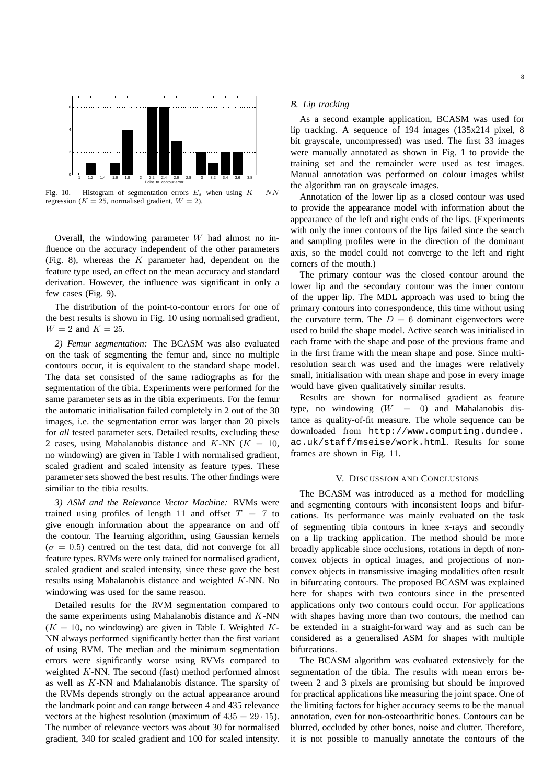

Fig. 10. Histogram of segmentation errors  $E_s$  when using  $K - NN$ regression ( $K = 25$ , normalised gradient,  $W = 2$ ).

Overall, the windowing parameter  $W$  had almost no influence on the accuracy independent of the other parameters (Fig. 8), whereas the  $K$  parameter had, dependent on the feature type used, an effect on the mean accuracy and standard derivation. However, the influence was significant in only a few cases (Fig. 9).

The distribution of the point-to-contour errors for one of the best results is shown in Fig. 10 using normalised gradient,  $W = 2$  and  $K = 25$ .

*2) Femur segmentation:* The BCASM was also evaluated on the task of segmenting the femur and, since no multiple contours occur, it is equivalent to the standard shape model. The data set consisted of the same radiographs as for the segmentation of the tibia. Experiments were performed for the same parameter sets as in the tibia experiments. For the femur the automatic initialisation failed completely in 2 out of the 30 images, i.e. the segmentation error was larger than 20 pixels for *all* tested parameter sets. Detailed results, excluding these 2 cases, using Mahalanobis distance and K-NN  $(K = 10)$ , no windowing) are given in Table I with normalised gradient, scaled gradient and scaled intensity as feature types. These parameter sets showed the best results. The other findings were similiar to the tibia results.

*3) ASM and the Relevance Vector Machine:* RVMs were trained using profiles of length 11 and offset  $T = 7$  to give enough information about the appearance on and off the contour. The learning algorithm, using Gaussian kernels  $(\sigma = 0.5)$  centred on the test data, did not converge for all feature types. RVMs were only trained for normalised gradient, scaled gradient and scaled intensity, since these gave the best results using Mahalanobis distance and weighted K-NN. No windowing was used for the same reason.

Detailed results for the RVM segmentation compared to the same experiments using Mahalanobis distance and  $K$ -NN  $(K = 10$ , no windowing) are given in Table I. Weighted K-NN always performed significantly better than the first variant of using RVM. The median and the minimum segmentation errors were significantly worse using RVMs compared to weighted K-NN. The second (fast) method performed almost as well as K-NN and Mahalanobis distance. The sparsity of the RVMs depends strongly on the actual appearance around the landmark point and can range between 4 and 435 relevance vectors at the highest resolution (maximum of  $435 = 29 \cdot 15$ ). The number of relevance vectors was about 30 for normalised gradient, 340 for scaled gradient and 100 for scaled intensity.

## *B. Lip tracking*

As a second example application, BCASM was used for lip tracking. A sequence of 194 images (135x214 pixel, 8 bit grayscale, uncompressed) was used. The first 33 images were manually annotated as shown in Fig. 1 to provide the training set and the remainder were used as test images. Manual annotation was performed on colour images whilst the algorithm ran on grayscale images.

Annotation of the lower lip as a closed contour was used to provide the appearance model with information about the appearance of the left and right ends of the lips. (Experiments with only the inner contours of the lips failed since the search and sampling profiles were in the direction of the dominant axis, so the model could not converge to the left and right corners of the mouth.)

The primary contour was the closed contour around the lower lip and the secondary contour was the inner contour of the upper lip. The MDL approach was used to bring the primary contours into correspondence, this time without using the curvature term. The  $D = 6$  dominant eigenvectors were used to build the shape model. Active search was initialised in each frame with the shape and pose of the previous frame and in the first frame with the mean shape and pose. Since multiresolution search was used and the images were relatively small, initialisation with mean shape and pose in every image would have given qualitatively similar results.

Results are shown for normalised gradient as feature type, no windowing  $(W = 0)$  and Mahalanobis distance as quality-of-fit measure. The whole sequence can be downloaded from http://www.computing.dundee. ac.uk/staff/mseise/work.html. Results for some frames are shown in Fig. 11.

#### V. DISCUSSION AND CONCLUSIONS

The BCASM was introduced as a method for modelling and segmenting contours with inconsistent loops and bifurcations. Its performance was mainly evaluated on the task of segmenting tibia contours in knee x-rays and secondly on a lip tracking application. The method should be more broadly applicable since occlusions, rotations in depth of nonconvex objects in optical images, and projections of nonconvex objects in transmissive imaging modalities often result in bifurcating contours. The proposed BCASM was explained here for shapes with two contours since in the presented applications only two contours could occur. For applications with shapes having more than two contours, the method can be extended in a straight-forward way and as such can be considered as a generalised ASM for shapes with multiple bifurcations.

The BCASM algorithm was evaluated extensively for the segmentation of the tibia. The results with mean errors between 2 and 3 pixels are promising but should be improved for practical applications like measuring the joint space. One of the limiting factors for higher accuracy seems to be the manual annotation, even for non-osteoarthritic bones. Contours can be blurred, occluded by other bones, noise and clutter. Therefore, it is not possible to manually annotate the contours of the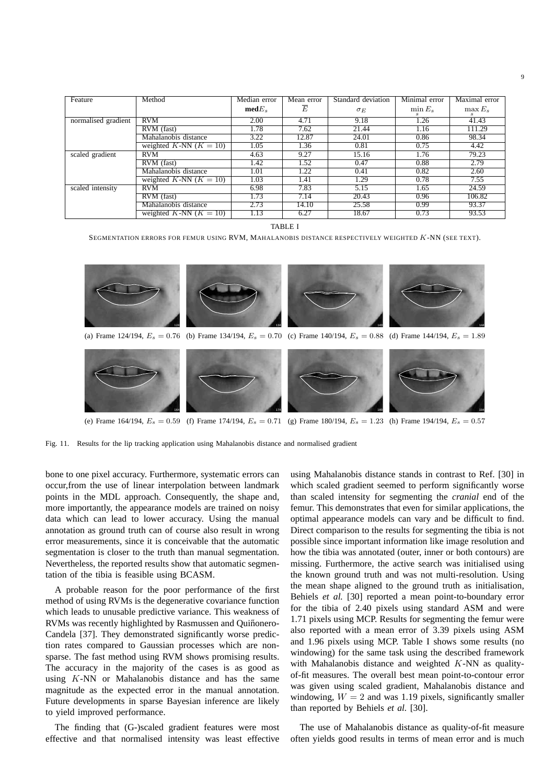| Feature             | Method                   | Median error      | Mean error | Standard deviation | Minimal error | Maximal error |
|---------------------|--------------------------|-------------------|------------|--------------------|---------------|---------------|
|                     |                          | $\textbf{med}E_s$ | E          | $\sigma_E$         | $\min E_s$    | $\max E_s$    |
| normalised gradient | <b>RVM</b>               | 2.00              | 4.71       | 9.18               | 1.26          | 41.43         |
|                     | RVM (fast)               | 1.78              | 7.62       | 21.44              | 1.16          | 111.29        |
|                     | Mahalanobis distance     | 3.22              | 12.87      | 24.01              | 0.86          | 98.34         |
|                     | weighted K-NN $(K = 10)$ | 1.05              | 1.36       | 0.81               | 0.75          | 4.42          |
| scaled gradient     | <b>RVM</b>               | 4.63              | 9.27       | 15.16              | 1.76          | 79.23         |
|                     | RVM (fast)               | 1.42              | 1.52       | 0.47               | 0.88          | 2.79          |
|                     | Mahalanobis distance     | 1.01              | 1.22       | 0.41               | 0.82          | 2.60          |
|                     | weighted K-NN $(K = 10)$ | 1.03              | 1.41       | 1.29               | 0.78          | 7.55          |
| scaled intensity    | <b>RVM</b>               | 6.98              | 7.83       | 5.15               | 1.65          | 24.59         |
|                     | RVM (fast)               | 1.73              | 7.14       | 20.43              | 0.96          | 106.82        |
|                     | Mahalanobis distance     | 2.73              | 14.10      | 25.58              | 0.99          | 93.37         |
|                     | weighted K-NN $(K = 10)$ | 1.13              | 6.27       | 18.67              | 0.73          | 93.53         |

TABLE I

SEGMENTATION ERRORS FOR FEMUR USING RVM, MAHALANOBIS DISTANCE RESPECTIVELY WEIGHTED K-NN (SEE TEXT).

124 (a) Frame 124/194,  $E_s = 0.76$  (b) Frame 134/194,  $E_s = 0.70$  (c) Frame 140/194,  $E_s = 0.88$  (d) Frame 144/194,  $E_s = 1.89$ 134 140 144 164 174 180 194

(e) Frame 164/194,  $E_s = 0.59$  (f) Frame 174/194,  $E_s = 0.71$  (g) Frame 180/194,  $E_s = 1.23$  (h) Frame 194/194,  $E_s = 0.57$ 

Fig. 11. Results for the lip tracking application using Mahalanobis distance and normalised gradient

bone to one pixel accuracy. Furthermore, systematic errors can occur,from the use of linear interpolation between landmark points in the MDL approach. Consequently, the shape and, more importantly, the appearance models are trained on noisy data which can lead to lower accuracy. Using the manual annotation as ground truth can of course also result in wrong error measurements, since it is conceivable that the automatic segmentation is closer to the truth than manual segmentation. Nevertheless, the reported results show that automatic segmentation of the tibia is feasible using BCASM.

A probable reason for the poor performance of the first method of using RVMs is the degenerative covariance function which leads to unusable predictive variance. This weakness of RVMs was recently highlighted by Rasmussen and Quiñonero-Candela [37]. They demonstrated significantly worse prediction rates compared to Gaussian processes which are nonsparse. The fast method using RVM shows promising results. The accuracy in the majority of the cases is as good as using K-NN or Mahalanobis distance and has the same magnitude as the expected error in the manual annotation. Future developments in sparse Bayesian inference are likely to yield improved performance.

The finding that (G-)scaled gradient features were most effective and that normalised intensity was least effective using Mahalanobis distance stands in contrast to Ref. [30] in which scaled gradient seemed to perform significantly worse than scaled intensity for segmenting the *cranial* end of the femur. This demonstrates that even for similar applications, the optimal appearance models can vary and be difficult to find. Direct comparison to the results for segmenting the tibia is not possible since important information like image resolution and how the tibia was annotated (outer, inner or both contours) are missing. Furthermore, the active search was initialised using the known ground truth and was not multi-resolution. Using the mean shape aligned to the ground truth as initialisation, Behiels *et al.* [30] reported a mean point-to-boundary error for the tibia of 2.40 pixels using standard ASM and were 1.71 pixels using MCP. Results for segmenting the femur were also reported with a mean error of 3.39 pixels using ASM and 1.96 pixels using MCP. Table I shows some results (no windowing) for the same task using the described framework with Mahalanobis distance and weighted  $K-NN$  as qualityof-fit measures. The overall best mean point-to-contour error was given using scaled gradient, Mahalanobis distance and windowing,  $W = 2$  and was 1.19 pixels, significantly smaller than reported by Behiels *et al.* [30].

The use of Mahalanobis distance as quality-of-fit measure often yields good results in terms of mean error and is much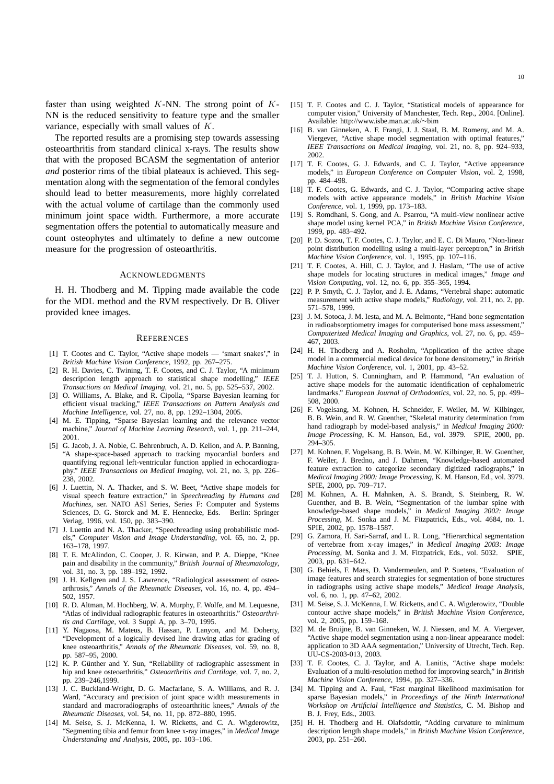faster than using weighted  $K-NN$ . The strong point of  $K$ -NN is the reduced sensitivity to feature type and the smaller variance, especially with small values of K.

The reported results are a promising step towards assessing osteoarthritis from standard clinical x-rays. The results show that with the proposed BCASM the segmentation of anterior *and* posterior rims of the tibial plateaux is achieved. This segmentation along with the segmentation of the femoral condyles should lead to better measurements, more highly correlated with the actual volume of cartilage than the commonly used minimum joint space width. Furthermore, a more accurate segmentation offers the potential to automatically measure and count osteophytes and ultimately to define a new outcome measure for the progression of osteoarthritis.

#### ACKNOWLEDGMENTS

H. H. Thodberg and M. Tipping made available the code for the MDL method and the RVM respectively. Dr B. Oliver provided knee images.

#### **REFERENCES**

- [1] T. Cootes and C. Taylor, "Active shape models 'smart snakes'." in *British Machine Vision Conference*, 1992, pp. 267–275.
- [2] R. H. Davies, C. Twining, T. F. Cootes, and C. J. Taylor, "A minimum description length approach to statistical shape modelling," *IEEE Transactions on Medical Imaging*, vol. 21, no. 5, pp. 525–537, 2002.
- [3] O. Williams, A. Blake, and R. Cipolla, "Sparse Bayesian learning for efficient visual tracking," *IEEE Transactions on Pattern Analysis and Machine Intelligence*, vol. 27, no. 8, pp. 1292–1304, 2005.
- [4] M. E. Tipping, "Sparse Bayesian learning and the relevance vector machine," *Journal of Machine Learning Research*, vol. 1, pp. 211–244, 2001.
- [5] G. Jacob, J. A. Noble, C. Behrenbruch, A. D. Kelion, and A. P. Banning, "A shape-space-based approach to tracking myocardial borders and quantifying regional left-ventricular function applied in echocardiography." *IEEE Transactions on Medical Imaging*, vol. 21, no. 3, pp. 226– 238, 2002.
- [6] J. Luettin, N. A. Thacker, and S. W. Beet, "Active shape models for visual speech feature extraction," in *Speechreading by Humans and Machines*, ser. NATO ASI Series, Series F: Computer and Systems Sciences, D. G. Storck and M. E. Hennecke, Eds. Berlin: Springer Verlag, 1996, vol. 150, pp. 383–390.
- [7] J. Luettin and N. A. Thacker, "Speechreading using probabilistic models," *Computer Vision and Image Understanding*, vol. 65, no. 2, pp. 163–178, 1997.
- [8] T. E. McAlindon, C. Cooper, J. R. Kirwan, and P. A. Dieppe, "Knee pain and disability in the community," *British Journal of Rheumatology*, vol. 31, no. 3, pp. 189–192, 1992.
- [9] J. H. Kellgren and J. S. Lawrence, "Radiological assessment of osteoarthrosis," *Annals of the Rheumatic Diseases*, vol. 16, no. 4, pp. 494– 502, 1957.
- [10] R. D. Altman, M. Hochberg, W. A. Murphy, F. Wolfe, and M. Lequesne, "Atlas of individual radiographic features in osteoarthritis." *Osteoarthritis and Cartilage*, vol. 3 Suppl A, pp. 3–70, 1995.
- [11] Y. Nagaosa, M. Mateus, B. Hassan, P. Lanyon, and M. Doherty, "Development of a logically devised line drawing atlas for grading of knee osteoarthritis," *Annals of the Rheumatic Diseases*, vol. 59, no. 8, pp. 587–95, 2000.
- [12] K. P. Günther and Y. Sun, "Reliability of radiographic assessment in hip and knee osteoarthritis," *Osteoarthritis and Cartilage*, vol. 7, no. 2, pp. 239–246,1999.
- [13] J. C. Buckland-Wright, D. G. Macfarlane, S. A. Williams, and R. J. Ward, "Accuracy and precision of joint space width measurements in standard and macroradiographs of osteoarthritic knees," *Annals of the Rheumatic Diseases*, vol. 54, no. 11, pp. 872–880, 1995.
- [14] M. Seise, S. J. McKenna, I. W. Ricketts, and C. A. Wigderowitz, "Segmenting tibia and femur from knee x-ray images," in *Medical Image Understanding and Analysis*, 2005, pp. 103–106.
- [15] T. F. Cootes and C. J. Taylor, "Statistical models of appearance for computer vision," University of Manchester, Tech. Rep., 2004. [Online]. Available: http://www.isbe.man.ac.uk/∼bim
- [16] B. van Ginneken, A. F. Frangi, J. J. Staal, B. M. Romeny, and M. A. Viergever, "Active shape model segmentation with optimal features," *IEEE Transactions on Medical Imaging*, vol. 21, no. 8, pp. 924–933, 2002.
- [17] T. F. Cootes, G. J. Edwards, and C. J. Taylor, "Active appearance models," in *European Conference on Computer Vision*, vol. 2, 1998, pp. 484–498.
- [18] T. F. Cootes, G. Edwards, and C. J. Taylor, "Comparing active shape models with active appearance models," in *British Machine Vision Conference*, vol. 1, 1999, pp. 173–183.
- [19] S. Romdhani, S. Gong, and A. Psarrou, "A multi-view nonlinear active shape model using kernel PCA," in *British Machine Vision Conference*, 1999, pp. 483–492.
- [20] P. D. Sozou, T. F. Cootes, C. J. Taylor, and E. C. Di Mauro, "Non-linear point distribution modelling using a multi-layer perceptron," in *British Machine Vision Conference*, vol. 1, 1995, pp. 107–116.
- [21] T. F. Cootes, A. Hill, C. J. Taylor, and J. Haslam, "The use of active shape models for locating structures in medical images," *Image and Vision Computing*, vol. 12, no. 6, pp. 355–365, 1994.
- [22] P. P. Smyth, C. J. Taylor, and J. E. Adams, "Vertebral shape: automatic measurement with active shape models," *Radiology*, vol. 211, no. 2, pp. 571–578, 1999.
- [23] J. M. Sotoca, J. M. Iesta, and M. A. Belmonte, "Hand bone segmentation in radioabsorptiometry images for computerised bone mass assessment," *Computerized Medical Imaging and Graphics*, vol. 27, no. 6, pp. 459– 467, 2003.
- [24] H. H. Thodberg and A. Rosholm, "Application of the active shape model in a commercial medical device for bone densitometry," in *British Machine Vision Conference*, vol. 1, 2001, pp. 43–52.
- [25] T. J. Hutton, S. Cunningham, and P. Hammond, "An evaluation of active shape models for the automatic identification of cephalometric landmarks." *European Journal of Orthodontics*, vol. 22, no. 5, pp. 499– 508, 2000.
- [26] F. Vogelsang, M. Kohnen, H. Schneider, F. Weiler, M. W. Kilbinger, B. B. Wein, and R. W. Guenther, "Skeletal maturity determination from hand radiograph by model-based analysis," in *Medical Imaging 2000: Image Processing*, K. M. Hanson, Ed., vol. 3979. SPIE, 2000, pp. 294–305.
- [27] M. Kohnen, F. Vogelsang, B. B. Wein, M. W. Kilbinger, R. W. Guenther, F. Weiler, J. Bredno, and J. Dahmen, "Knowledge-based automated feature extraction to categorize secondary digitized radiographs," in *Medical Imaging 2000: Image Processing*, K. M. Hanson, Ed., vol. 3979. SPIE, 2000, pp. 709–717.
- [28] M. Kohnen, A. H. Mahnken, A. S. Brandt, S. Steinberg, R. W. Guenther, and B. B. Wein, "Segmentation of the lumbar spine with knowledge-based shape models," in *Medical Imaging 2002: Image Processing*, M. Sonka and J. M. Fitzpatrick, Eds., vol. 4684, no. 1. SPIE, 2002, pp. 1578–1587.
- [29] G. Zamora, H. Sari-Sarraf, and L. R. Long, "Hierarchical segmentation of vertebrae from x-ray images," in *Medical Imaging 2003: Image Processing*, M. Sonka and J. M. Fitzpatrick, Eds., vol. 5032. SPIE, 2003, pp. 631–642.
- [30] G. Behiels, F. Maes, D. Vandermeulen, and P. Suetens, "Evaluation of image features and search strategies for segmentation of bone structures in radiographs using active shape models," *Medical Image Analysis*, vol. 6, no. 1, pp. 47–62, 2002.
- [31] M. Seise, S. J. McKenna, I. W. Ricketts, and C. A. Wigderowitz, "Double contour active shape models," in *British Machine Vision Conference*, vol. 2, 2005, pp. 159–168.
- [32] M. de Bruijne, B. van Ginneken, W. J. Niessen, and M. A. Viergever, "Active shape model segmentation using a non-linear appearance model: application to 3D AAA segmentation," University of Utrecht, Tech. Rep. UU-CS-2003-013, 2003.
- [33] T. F. Cootes, C. J. Taylor, and A. Lanitis, "Active shape models: Evaluation of a multi-resolution method for improving search," in *British Machine Vision Conference*, 1994, pp. 327–336.
- [34] M. Tipping and A. Faul, "Fast marginal likelihood maximisation for sparse Bayesian models," in *Proceedings of the Ninth International Workshop on Artificial Intelligence and Statistics*, C. M. Bishop and B. J. Frey, Eds., 2003.
- [35] H. H. Thodberg and H. Olafsdottir, "Adding curvature to minimum description length shape models," in *British Machine Vision Conference*, 2003, pp. 251–260.